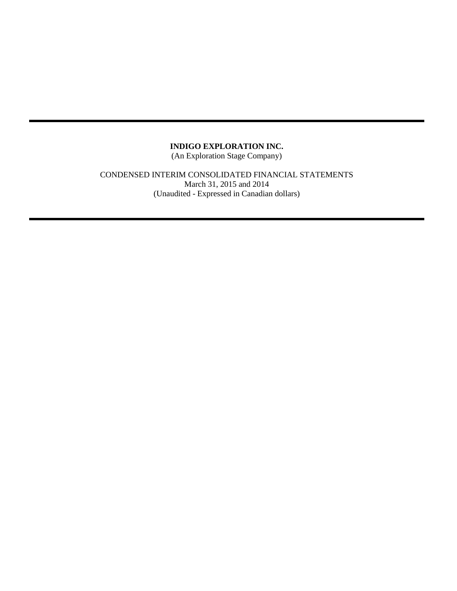(An Exploration Stage Company)

CONDENSED INTERIM CONSOLIDATED FINANCIAL STATEMENTS March 31, 2015 and 2014 (Unaudited - Expressed in Canadian dollars)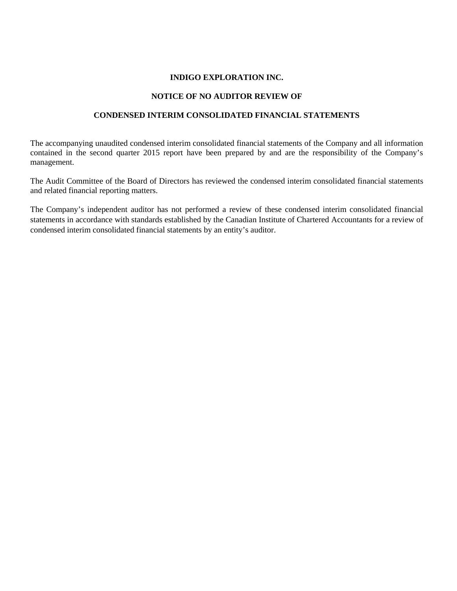## **NOTICE OF NO AUDITOR REVIEW OF**

## **CONDENSED INTERIM CONSOLIDATED FINANCIAL STATEMENTS**

The accompanying unaudited condensed interim consolidated financial statements of the Company and all information contained in the second quarter 2015 report have been prepared by and are the responsibility of the Company's management.

The Audit Committee of the Board of Directors has reviewed the condensed interim consolidated financial statements and related financial reporting matters.

The Company's independent auditor has not performed a review of these condensed interim consolidated financial statements in accordance with standards established by the Canadian Institute of Chartered Accountants for a review of condensed interim consolidated financial statements by an entity's auditor.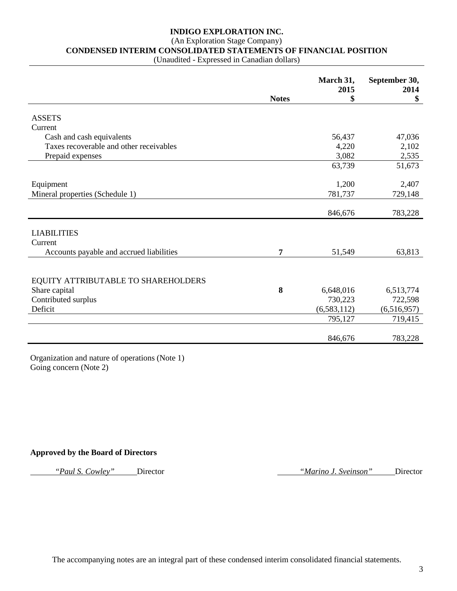# (An Exploration Stage Company)

**CONDENSED INTERIM CONSOLIDATED STATEMENTS OF FINANCIAL POSITION**

(Unaudited - Expressed in Canadian dollars)

|                                          |              | March 31,<br>2015 | September 30,<br>2014 |
|------------------------------------------|--------------|-------------------|-----------------------|
|                                          | <b>Notes</b> | \$                | \$                    |
| <b>ASSETS</b>                            |              |                   |                       |
| Current                                  |              |                   |                       |
| Cash and cash equivalents                |              | 56,437            | 47,036                |
| Taxes recoverable and other receivables  |              | 4,220             | 2,102                 |
| Prepaid expenses                         |              | 3,082             | 2,535                 |
|                                          |              | 63,739            | 51,673                |
|                                          |              |                   |                       |
| Equipment                                |              | 1,200             | 2,407                 |
| Mineral properties (Schedule 1)          |              | 781,737           | 729,148               |
|                                          |              |                   |                       |
|                                          |              | 846,676           | 783,228               |
|                                          |              |                   |                       |
| <b>LIABILITIES</b>                       |              |                   |                       |
| Current                                  |              |                   |                       |
| Accounts payable and accrued liabilities | 7            | 51,549            | 63,813                |
|                                          |              |                   |                       |
|                                          |              |                   |                       |
| EQUITY ATTRIBUTABLE TO SHAREHOLDERS      |              |                   |                       |
| Share capital                            | 8            | 6,648,016         | 6,513,774             |
| Contributed surplus                      |              | 730,223           | 722,598               |
| Deficit                                  |              | (6, 583, 112)     | (6,516,957)           |
|                                          |              | 795,127           | 719,415               |
|                                          |              |                   |                       |
|                                          |              | 846,676           | 783,228               |

Organization and nature of operations (Note 1) Going concern (Note 2)

### **Approved by the Board of Directors**

*"Paul S. Cowley"* Director *"Marino J. Sveinson"* Director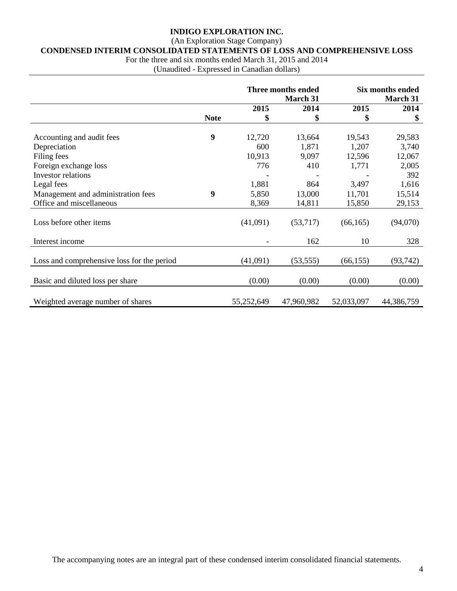# (An Exploration Stage Company)

# **CONDENSED INTERIM CONSOLIDATED STATEMENTS OF LOSS AND COMPREHENSIVE LOSS**

For the three and six months ended March 31, 2015 and 2014

(Unaudited - Expressed in Canadian dollars)

|                                            |             |            | Three months ended |            | <b>Six months ended</b> |
|--------------------------------------------|-------------|------------|--------------------|------------|-------------------------|
|                                            |             |            | March 31           |            | March 31                |
|                                            |             | 2015       | 2014               | 2015       | 2014                    |
|                                            | <b>Note</b> | \$         | \$                 | \$         | \$                      |
|                                            |             |            |                    |            |                         |
| Accounting and audit fees                  | 9           | 12,720     | 13,664             | 19,543     | 29,583                  |
| Depreciation                               |             | 600        | 1,871              | 1,207      | 3,740                   |
| Filing fees                                |             | 10,913     | 9,097              | 12,596     | 12,067                  |
| Foreign exchange loss                      |             | 776        | 410                | 1,771      | 2,005                   |
| <b>Investor</b> relations                  |             |            |                    |            | 392                     |
| Legal fees                                 |             | 1,881      | 864                | 3,497      | 1,616                   |
| Management and administration fees         | 9           | 5,850      | 13,000             | 11,701     | 15,514                  |
| Office and miscellaneous                   |             | 8,369      | 14,811             | 15,850     | 29,153                  |
|                                            |             |            |                    |            |                         |
| Loss before other items                    |             | (41,091)   | (53,717)           | (66, 165)  | (94,070)                |
|                                            |             |            |                    |            |                         |
| Interest income                            |             |            | 162                | 10         | 328                     |
|                                            |             |            |                    |            |                         |
| Loss and comprehensive loss for the period |             | (41,091)   | (53, 555)          | (66, 155)  | (93, 742)               |
|                                            |             |            |                    |            |                         |
|                                            |             |            |                    |            |                         |
| Basic and diluted loss per share           |             | (0.00)     | (0.00)             | (0.00)     | (0.00)                  |
|                                            |             |            |                    |            |                         |
| Weighted average number of shares          |             | 55,252,649 | 47,960,982         | 52,033,097 | 44,386,759              |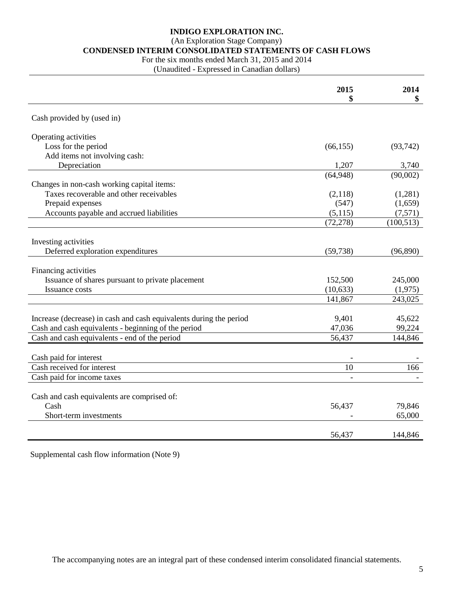(An Exploration Stage Company)

#### **CONDENSED INTERIM CONSOLIDATED STATEMENTS OF CASH FLOWS**

For the six months ended March 31, 2015 and 2014

(Unaudited - Expressed in Canadian dollars)

|                                                                    | 2015<br>\$ | 2014<br>\$ |
|--------------------------------------------------------------------|------------|------------|
| Cash provided by (used in)                                         |            |            |
| Operating activities                                               |            |            |
| Loss for the period                                                | (66, 155)  | (93, 742)  |
| Add items not involving cash:                                      |            |            |
| Depreciation                                                       | 1,207      | 3,740      |
|                                                                    | (64,948)   | (90,002)   |
| Changes in non-cash working capital items:                         |            |            |
| Taxes recoverable and other receivables                            | (2,118)    | (1,281)    |
| Prepaid expenses                                                   | (547)      | (1,659)    |
| Accounts payable and accrued liabilities                           | (5,115)    | (7,571)    |
|                                                                    | (72, 278)  | (100, 513) |
|                                                                    |            |            |
| Investing activities                                               |            |            |
| Deferred exploration expenditures                                  | (59, 738)  | (96, 890)  |
|                                                                    |            |            |
| Financing activities                                               |            |            |
| Issuance of shares pursuant to private placement                   | 152,500    | 245,000    |
| <b>Issuance costs</b>                                              | (10, 633)  | (1,975)    |
|                                                                    | 141,867    | 243,025    |
|                                                                    |            |            |
| Increase (decrease) in cash and cash equivalents during the period | 9,401      | 45,622     |
| Cash and cash equivalents - beginning of the period                | 47,036     | 99,224     |
| Cash and cash equivalents - end of the period                      | 56,437     | 144,846    |
|                                                                    |            |            |
| Cash paid for interest                                             |            |            |
| Cash received for interest                                         | 10         | 166        |
| Cash paid for income taxes                                         |            |            |
|                                                                    |            |            |
| Cash and cash equivalents are comprised of:                        |            |            |
| Cash                                                               | 56,437     | 79,846     |
| Short-term investments                                             |            | 65,000     |
|                                                                    | 56,437     | 144,846    |

Supplemental cash flow information (Note 9)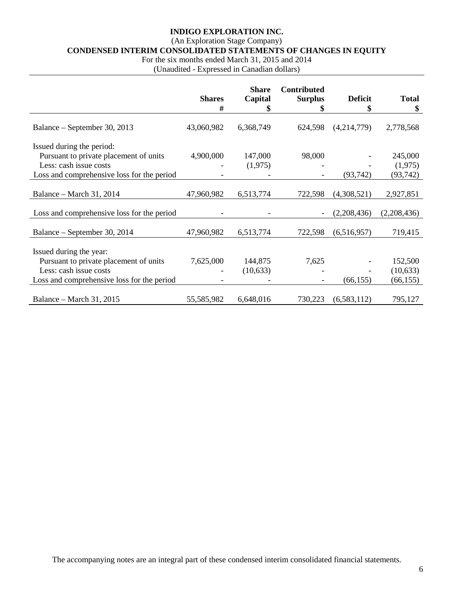# (An Exploration Stage Company)

**CONDENSED INTERIM CONSOLIDATED STATEMENTS OF CHANGES IN EQUITY**

For the six months ended March 31, 2015 and 2014

(Unaudited - Expressed in Canadian dollars)

|                                            | <b>Shares</b><br># | <b>Share</b><br>Capital<br>\$ | <b>Contributed</b><br><b>Surplus</b><br>\$ | <b>Deficit</b><br>\$ | <b>Total</b><br>\$ |
|--------------------------------------------|--------------------|-------------------------------|--------------------------------------------|----------------------|--------------------|
|                                            |                    |                               |                                            |                      |                    |
| Balance – September 30, 2013               | 43,060,982         | 6,368,749                     | 624,598                                    | (4,214,779)          | 2,778,568          |
| Issued during the period:                  |                    |                               |                                            |                      |                    |
| Pursuant to private placement of units     | 4,900,000          | 147,000                       | 98,000                                     |                      | 245,000            |
| Less: cash issue costs                     |                    | (1,975)                       |                                            |                      | (1,975)            |
| Loss and comprehensive loss for the period |                    |                               |                                            | (93, 742)            | (93, 742)          |
|                                            |                    |                               |                                            |                      |                    |
| Balance – March 31, 2014                   | 47,960,982         | 6,513,774                     | 722,598                                    | (4,308,521)          | 2,927,851          |
|                                            |                    |                               |                                            |                      |                    |
| Loss and comprehensive loss for the period |                    |                               |                                            | (2,208,436)          | (2,208,436)        |
|                                            |                    |                               |                                            |                      |                    |
| Balance – September 30, 2014               | 47,960,982         | 6,513,774                     | 722,598                                    | (6,516,957)          | 719,415            |
|                                            |                    |                               |                                            |                      |                    |
| Issued during the year:                    |                    |                               |                                            |                      |                    |
| Pursuant to private placement of units     | 7,625,000          | 144,875                       | 7,625                                      |                      | 152,500            |
| Less: cash issue costs                     |                    | (10,633)                      |                                            |                      | (10,633)           |
| Loss and comprehensive loss for the period |                    |                               |                                            | (66, 155)            | (66, 155)          |
|                                            |                    |                               |                                            |                      |                    |
| Balance – March 31, 2015                   | 55,585,982         | 6,648,016                     | 730,223                                    | (6,583,112)          | 795,127            |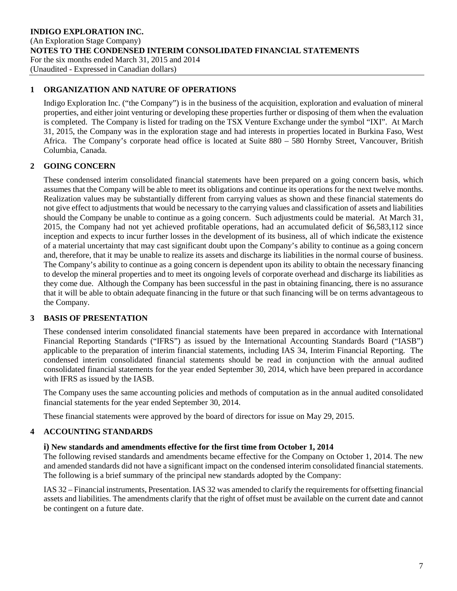## **1 ORGANIZATION AND NATURE OF OPERATIONS**

Indigo Exploration Inc. ("the Company") is in the business of the acquisition, exploration and evaluation of mineral properties, and either joint venturing or developing these properties further or disposing of them when the evaluation is completed. The Company is listed for trading on the TSX Venture Exchange under the symbol "IXI". At March 31, 2015, the Company was in the exploration stage and had interests in properties located in Burkina Faso, West Africa. The Company's corporate head office is located at Suite 880 – 580 Hornby Street, Vancouver, British Columbia, Canada.

# **2 GOING CONCERN**

These condensed interim consolidated financial statements have been prepared on a going concern basis, which assumes that the Company will be able to meet its obligations and continue its operations for the next twelve months. Realization values may be substantially different from carrying values as shown and these financial statements do not give effect to adjustments that would be necessary to the carrying values and classification of assets and liabilities should the Company be unable to continue as a going concern. Such adjustments could be material. At March 31, 2015, the Company had not yet achieved profitable operations, had an accumulated deficit of \$6,583,112 since inception and expects to incur further losses in the development of its business, all of which indicate the existence of a material uncertainty that may cast significant doubt upon the Company's ability to continue as a going concern and, therefore, that it may be unable to realize its assets and discharge its liabilities in the normal course of business. The Company's ability to continue as a going concern is dependent upon its ability to obtain the necessary financing to develop the mineral properties and to meet its ongoing levels of corporate overhead and discharge its liabilities as they come due. Although the Company has been successful in the past in obtaining financing, there is no assurance that it will be able to obtain adequate financing in the future or that such financing will be on terms advantageous to the Company.

# **3 BASIS OF PRESENTATION**

These condensed interim consolidated financial statements have been prepared in accordance with International Financial Reporting Standards ("IFRS") as issued by the International Accounting Standards Board ("IASB") applicable to the preparation of interim financial statements, including IAS 34, Interim Financial Reporting. The condensed interim consolidated financial statements should be read in conjunction with the annual audited consolidated financial statements for the year ended September 30, 2014, which have been prepared in accordance with IFRS as issued by the IASB.

The Company uses the same accounting policies and methods of computation as in the annual audited consolidated financial statements for the year ended September 30, 2014.

These financial statements were approved by the board of directors for issue on May 29, 2015.

# **4 ACCOUNTING STANDARDS**

### **i) New standards and amendments effective for the first time from October 1, 2014**

The following revised standards and amendments became effective for the Company on October 1, 2014. The new and amended standards did not have a significant impact on the condensed interim consolidated financial statements. The following is a brief summary of the principal new standards adopted by the Company:

IAS 32 – Financial instruments, Presentation. IAS 32 was amended to clarify the requirements for offsetting financial assets and liabilities. The amendments clarify that the right of offset must be available on the current date and cannot be contingent on a future date.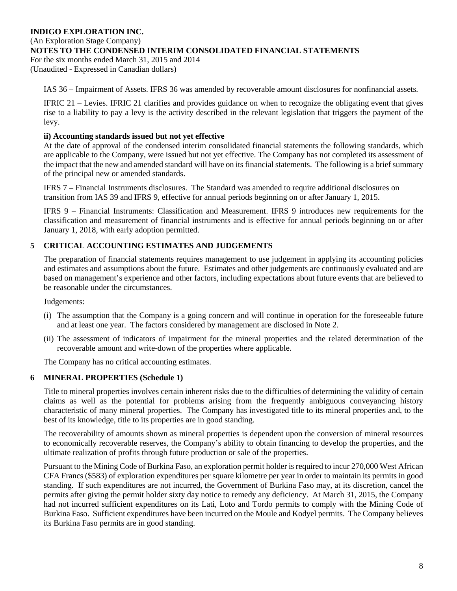#### **INDIGO EXPLORATION INC.** (An Exploration Stage Company) **NOTES TO THE CONDENSED INTERIM CONSOLIDATED FINANCIAL STATEMENTS** For the six months ended March 31, 2015 and 2014 (Unaudited - Expressed in Canadian dollars)

IAS 36 – Impairment of Assets. IFRS 36 was amended by recoverable amount disclosures for nonfinancial assets.

IFRIC 21 – Levies. IFRIC 21 clarifies and provides guidance on when to recognize the obligating event that gives rise to a liability to pay a levy is the activity described in the relevant legislation that triggers the payment of the levy.

## **ii) Accounting standards issued but not yet effective**

At the date of approval of the condensed interim consolidated financial statements the following standards, which are applicable to the Company, were issued but not yet effective. The Company has not completed its assessment of the impact that the new and amended standard will have on its financial statements. The following is a brief summary of the principal new or amended standards.

IFRS 7 – Financial Instruments disclosures. The Standard was amended to require additional disclosures on transition from IAS 39 and IFRS 9, effective for annual periods beginning on or after January 1, 2015.

IFRS 9 – Financial Instruments: Classification and Measurement. IFRS 9 introduces new requirements for the classification and measurement of financial instruments and is effective for annual periods beginning on or after January 1, 2018, with early adoption permitted.

# **5 CRITICAL ACCOUNTING ESTIMATES AND JUDGEMENTS**

The preparation of financial statements requires management to use judgement in applying its accounting policies and estimates and assumptions about the future. Estimates and other judgements are continuously evaluated and are based on management's experience and other factors, including expectations about future events that are believed to be reasonable under the circumstances.

Judgements:

- (i) The assumption that the Company is a going concern and will continue in operation for the foreseeable future and at least one year. The factors considered by management are disclosed in Note 2.
- (ii) The assessment of indicators of impairment for the mineral properties and the related determination of the recoverable amount and write-down of the properties where applicable.

The Company has no critical accounting estimates.

# **6 MINERAL PROPERTIES (Schedule 1)**

Title to mineral properties involves certain inherent risks due to the difficulties of determining the validity of certain claims as well as the potential for problems arising from the frequently ambiguous conveyancing history characteristic of many mineral properties. The Company has investigated title to its mineral properties and, to the best of its knowledge, title to its properties are in good standing.

The recoverability of amounts shown as mineral properties is dependent upon the conversion of mineral resources to economically recoverable reserves, the Company's ability to obtain financing to develop the properties, and the ultimate realization of profits through future production or sale of the properties.

Pursuant to the Mining Code of Burkina Faso, an exploration permit holder is required to incur 270,000 West African CFA Francs (\$583) of exploration expenditures per square kilometre per year in order to maintain its permits in good standing. If such expenditures are not incurred, the Government of Burkina Faso may, at its discretion, cancel the permits after giving the permit holder sixty day notice to remedy any deficiency. At March 31, 2015, the Company had not incurred sufficient expenditures on its Lati, Loto and Tordo permits to comply with the Mining Code of Burkina Faso. Sufficient expenditures have been incurred on the Moule and Kodyel permits. The Company believes its Burkina Faso permits are in good standing.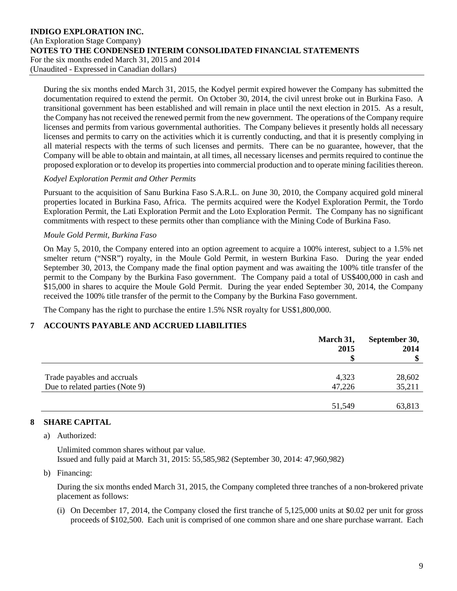During the six months ended March 31, 2015, the Kodyel permit expired however the Company has submitted the documentation required to extend the permit. On October 30, 2014, the civil unrest broke out in Burkina Faso. A transitional government has been established and will remain in place until the next election in 2015. As a result, the Company has not received the renewed permit from the new government. The operations of the Company require licenses and permits from various governmental authorities. The Company believes it presently holds all necessary licenses and permits to carry on the activities which it is currently conducting, and that it is presently complying in all material respects with the terms of such licenses and permits. There can be no guarantee, however, that the Company will be able to obtain and maintain, at all times, all necessary licenses and permits required to continue the proposed exploration or to develop its properties into commercial production and to operate mining facilities thereon.

## *Kodyel Exploration Permit and Other Permits*

Pursuant to the acquisition of Sanu Burkina Faso S.A.R.L. on June 30, 2010, the Company acquired gold mineral properties located in Burkina Faso, Africa. The permits acquired were the Kodyel Exploration Permit, the Tordo Exploration Permit, the Lati Exploration Permit and the Loto Exploration Permit. The Company has no significant commitments with respect to these permits other than compliance with the Mining Code of Burkina Faso.

## *Moule Gold Permit, Burkina Faso*

On May 5, 2010, the Company entered into an option agreement to acquire a 100% interest, subject to a 1.5% net smelter return ("NSR") royalty, in the Moule Gold Permit, in western Burkina Faso. During the year ended September 30, 2013, the Company made the final option payment and was awaiting the 100% title transfer of the permit to the Company by the Burkina Faso government. The Company paid a total of US\$400,000 in cash and \$15,000 in shares to acquire the Moule Gold Permit. During the year ended September 30, 2014, the Company received the 100% title transfer of the permit to the Company by the Burkina Faso government.

The Company has the right to purchase the entire 1.5% NSR royalty for US\$1,800,000.

# **7 ACCOUNTS PAYABLE AND ACCRUED LIABILITIES**

|                                 | March 31,<br>2015 | September 30,<br>2014 |
|---------------------------------|-------------------|-----------------------|
|                                 | ¢                 | \$                    |
|                                 |                   |                       |
| Trade payables and accruals     | 4,323             | 28,602                |
| Due to related parties (Note 9) | 47,226            | 35,211                |
|                                 |                   |                       |
|                                 | 51,549            | 63,813                |

# **8 SHARE CAPITAL**

a) Authorized:

Unlimited common shares without par value. Issued and fully paid at March 31, 2015: 55,585,982 (September 30, 2014: 47,960,982)

### b) Financing:

During the six months ended March 31, 2015, the Company completed three tranches of a non-brokered private placement as follows:

(i) On December 17, 2014, the Company closed the first tranche of 5,125,000 units at \$0.02 per unit for gross proceeds of \$102,500. Each unit is comprised of one common share and one share purchase warrant. Each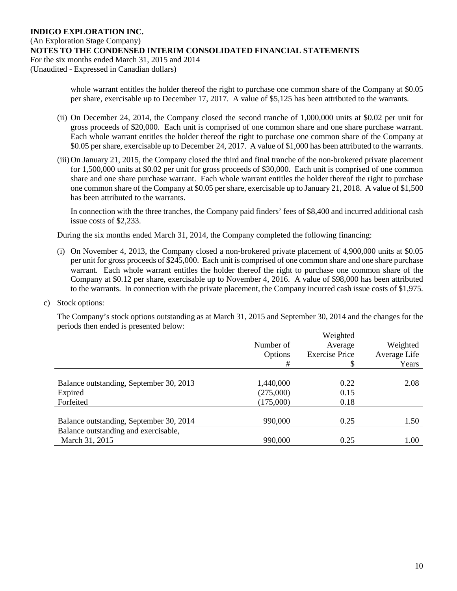whole warrant entitles the holder thereof the right to purchase one common share of the Company at \$0.05 per share, exercisable up to December 17, 2017. A value of \$5,125 has been attributed to the warrants.

- (ii) On December 24, 2014, the Company closed the second tranche of 1,000,000 units at \$0.02 per unit for gross proceeds of \$20,000. Each unit is comprised of one common share and one share purchase warrant. Each whole warrant entitles the holder thereof the right to purchase one common share of the Company at \$0.05 per share, exercisable up to December 24, 2017. A value of \$1,000 has been attributed to the warrants.
- (iii)On January 21, 2015, the Company closed the third and final tranche of the non-brokered private placement for 1,500,000 units at \$0.02 per unit for gross proceeds of \$30,000. Each unit is comprised of one common share and one share purchase warrant. Each whole warrant entitles the holder thereof the right to purchase one common share of the Company at \$0.05 per share, exercisable up to January 21, 2018. A value of \$1,500 has been attributed to the warrants.

In connection with the three tranches, the Company paid finders' fees of \$8,400 and incurred additional cash issue costs of \$2,233.

During the six months ended March 31, 2014, the Company completed the following financing:

- (i) On November 4, 2013, the Company closed a non-brokered private placement of 4,900,000 units at \$0.05 per unit for gross proceeds of \$245,000. Each unit is comprised of one common share and one share purchase warrant. Each whole warrant entitles the holder thereof the right to purchase one common share of the Company at \$0.12 per share, exercisable up to November 4, 2016. A value of \$98,000 has been attributed to the warrants. In connection with the private placement, the Company incurred cash issue costs of \$1,975.
- c) Stock options:

The Company's stock options outstanding as at March 31, 2015 and September 30, 2014 and the changes for the periods then ended is presented below:

|                                                                                 | Number of<br>Options<br>#           | Weighted<br>Average<br><b>Exercise Price</b><br>\$ | Weighted<br>Average Life<br>Years |
|---------------------------------------------------------------------------------|-------------------------------------|----------------------------------------------------|-----------------------------------|
| Balance outstanding, September 30, 2013<br>Expired<br>Forfeited                 | 1,440,000<br>(275,000)<br>(175,000) | 0.22<br>0.15<br>0.18                               | 2.08                              |
| Balance outstanding, September 30, 2014<br>Balance outstanding and exercisable, | 990,000                             | 0.25                                               | 1.50                              |
| March 31, 2015                                                                  | 990,000                             | 0.25                                               | 1.00                              |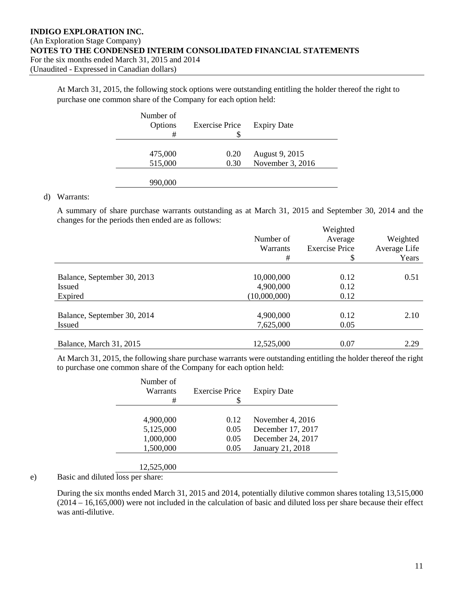At March 31, 2015, the following stock options were outstanding entitling the holder thereof the right to purchase one common share of the Company for each option held:

| Number of<br>Options<br># | <b>Exercise Price</b><br>S | <b>Expiry Date</b> |
|---------------------------|----------------------------|--------------------|
|                           |                            |                    |
| 475,000                   | 0.20                       | August 9, 2015     |
| 515,000                   | 0.30                       | November 3, 2016   |
|                           |                            |                    |
| 990,000                   |                            |                    |

#### d) Warrants:

A summary of share purchase warrants outstanding as at March 31, 2015 and September 30, 2014 and the changes for the periods then ended are as follows:

|                             |              | Weighted              |              |
|-----------------------------|--------------|-----------------------|--------------|
|                             | Number of    | Average               | Weighted     |
|                             | Warrants     | <b>Exercise Price</b> | Average Life |
|                             | #            | \$                    | Years        |
|                             |              |                       |              |
| Balance, September 30, 2013 | 10,000,000   | 0.12                  | 0.51         |
| <b>Issued</b>               | 4,900,000    | 0.12                  |              |
| Expired                     | (10,000,000) | 0.12                  |              |
|                             |              |                       |              |
| Balance, September 30, 2014 | 4,900,000    | 0.12                  | 2.10         |
| <b>Issued</b>               | 7,625,000    | 0.05                  |              |
|                             |              |                       |              |
| Balance, March 31, 2015     | 12,525,000   | 0.07                  | 2.29         |

At March 31, 2015, the following share purchase warrants were outstanding entitling the holder thereof the right to purchase one common share of the Company for each option held:

| Number of<br>Warrants<br># | <b>Exercise Price</b> | <b>Expiry Date</b> |
|----------------------------|-----------------------|--------------------|
|                            |                       |                    |
| 4,900,000                  | 0.12                  | November 4, 2016   |
| 5,125,000                  | 0.05                  | December 17, 2017  |
| 1,000,000                  | 0.05                  | December 24, 2017  |
| 1,500,000                  | 0.05                  | January 21, 2018   |
|                            |                       |                    |
| 12,525,000                 |                       |                    |

### e) Basic and diluted loss per share:

During the six months ended March 31, 2015 and 2014, potentially dilutive common shares totaling 13,515,000 (2014 – 16,165,000) were not included in the calculation of basic and diluted loss per share because their effect was anti-dilutive.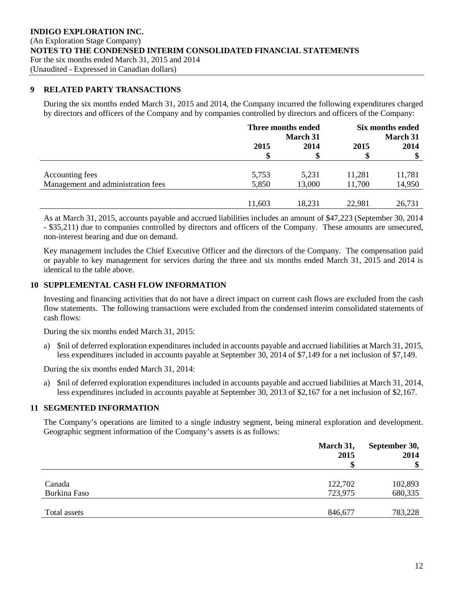#### **9 RELATED PARTY TRANSACTIONS**

During the six months ended March 31, 2015 and 2014, the Company incurred the following expenditures charged by directors and officers of the Company and by companies controlled by directors and officers of the Company:

|                                    | Three months ended<br><b>March 31</b> |        | Six months ended<br><b>March 31</b> |        |
|------------------------------------|---------------------------------------|--------|-------------------------------------|--------|
|                                    | 2015                                  | 2014   | 2015                                | 2014   |
|                                    | S                                     | \$     |                                     | S      |
| Accounting fees                    | 5,753                                 | 5,231  | 11,281                              | 11,781 |
| Management and administration fees | 5,850                                 | 13,000 | 11,700                              | 14,950 |
|                                    |                                       |        |                                     |        |
|                                    | 11,603                                | 18,231 | 22,981                              | 26,731 |

As at March 31, 2015, accounts payable and accrued liabilities includes an amount of \$47,223 (September 30, 2014 - \$35,211) due to companies controlled by directors and officers of the Company. These amounts are unsecured, non-interest bearing and due on demand.

Key management includes the Chief Executive Officer and the directors of the Company. The compensation paid or payable to key management for services during the three and six months ended March 31, 2015 and 2014 is identical to the table above.

### **10 SUPPLEMENTAL CASH FLOW INFORMATION**

Investing and financing activities that do not have a direct impact on current cash flows are excluded from the cash flow statements. The following transactions were excluded from the condensed interim consolidated statements of cash flows:

During the six months ended March 31, 2015:

a) \$nil of deferred exploration expenditures included in accounts payable and accrued liabilities at March 31, 2015, less expenditures included in accounts payable at September 30, 2014 of \$7,149 for a net inclusion of \$7,149.

During the six months ended March 31, 2014:

a) \$nil of deferred exploration expenditures included in accounts payable and accrued liabilities at March 31, 2014, less expenditures included in accounts payable at September 30, 2013 of \$2,167 for a net inclusion of \$2,167.

# **11 SEGMENTED INFORMATION**

The Company's operations are limited to a single industry segment, being mineral exploration and development. Geographic segment information of the Company's assets is as follows:

|              | March 31,<br>2015 | September 30,<br>2014 |  |
|--------------|-------------------|-----------------------|--|
|              |                   | \$                    |  |
|              |                   |                       |  |
| Canada       | 122,702           | 102,893               |  |
| Burkina Faso | 723,975           | 680,335               |  |
|              |                   |                       |  |
| Total assets | 846,677           | 783,228               |  |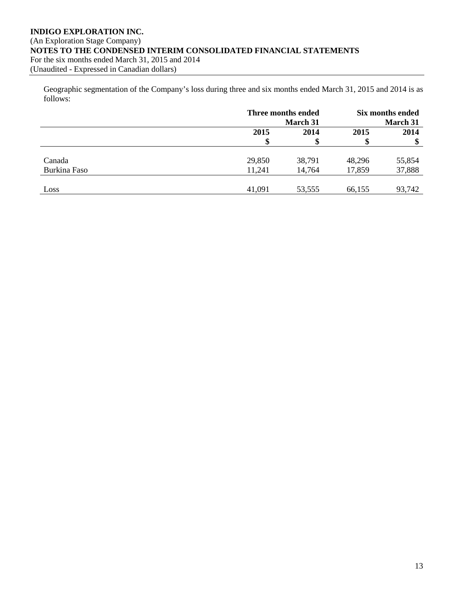## **INDIGO EXPLORATION INC.** (An Exploration Stage Company) **NOTES TO THE CONDENSED INTERIM CONSOLIDATED FINANCIAL STATEMENTS** For the six months ended March 31, 2015 and 2014 (Unaudited - Expressed in Canadian dollars)

Geographic segmentation of the Company's loss during three and six months ended March 31, 2015 and 2014 is as follows:

|              |        | Three months ended |        | Six months ended |  |
|--------------|--------|--------------------|--------|------------------|--|
|              |        | <b>March 31</b>    |        | March 31         |  |
|              | 2015   | 2014               | 2015   | 2014             |  |
|              | S      | \$                 | JD     |                  |  |
|              |        |                    |        |                  |  |
| Canada       | 29,850 | 38,791             | 48,296 | 55,854           |  |
| Burkina Faso | 11,241 | 14,764             | 17,859 | 37,888           |  |
|              |        |                    |        |                  |  |
| Loss         | 41,091 | 53,555             | 66,155 | 93,742           |  |